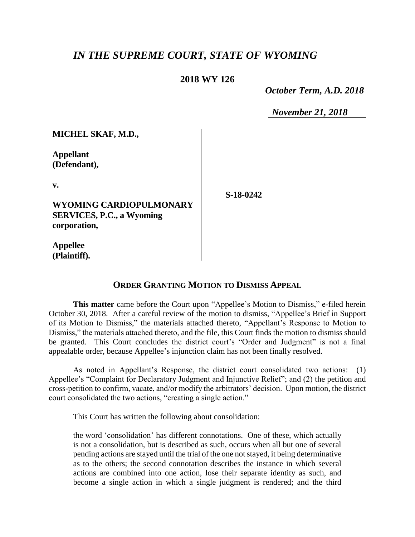## *IN THE SUPREME COURT, STATE OF WYOMING*

## **2018 WY 126**

 *October Term, A.D. 2018*

*November 21, 2018*

**Appellant (Defendant),**

**v.**

**WYOMING CARDIOPULMONARY SERVICES, P.C., a Wyoming corporation,**

**S-18-0242**

**Appellee (Plaintiff).**

## **ORDER GRANTING MOTION TO DISMISS APPEAL**

**This matter** came before the Court upon "Appellee's Motion to Dismiss," e-filed herein October 30, 2018. After a careful review of the motion to dismiss, "Appellee's Brief in Support of its Motion to Dismiss," the materials attached thereto, "Appellant's Response to Motion to Dismiss," the materials attached thereto, and the file, this Court finds the motion to dismiss should be granted. This Court concludes the district court's "Order and Judgment" is not a final appealable order, because Appellee's injunction claim has not been finally resolved.

As noted in Appellant's Response, the district court consolidated two actions: (1) Appellee's "Complaint for Declaratory Judgment and Injunctive Relief"; and (2) the petition and cross-petition to confirm, vacate, and/or modify the arbitrators' decision. Upon motion, the district court consolidated the two actions, "creating a single action."

This Court has written the following about consolidation:

the word 'consolidation' has different connotations. One of these, which actually is not a consolidation, but is described as such, occurs when all but one of several pending actions are stayed until the trial of the one not stayed, it being determinative as to the others; the second connotation describes the instance in which several actions are combined into one action, lose their separate identity as such, and become a single action in which a single judgment is rendered; and the third